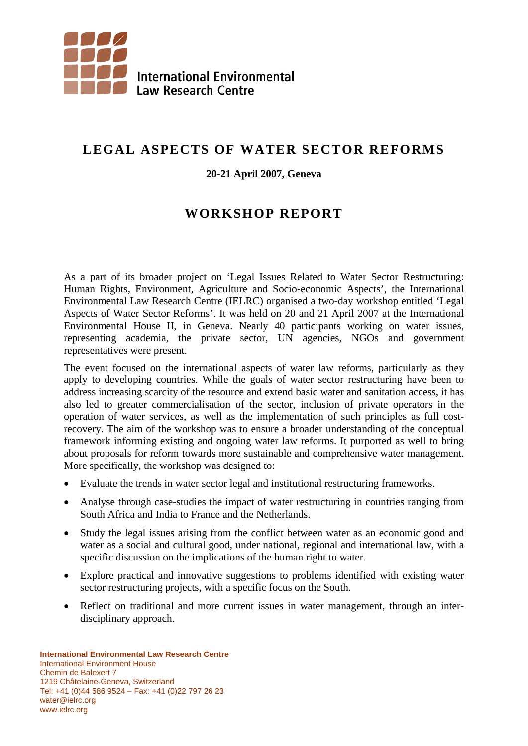

# **LEGAL ASPECTS OF WATER SECTOR REFORMS**

#### **20-21 April 2007, Geneva**

# **WORKSHOP REPORT**

As a part of its broader project on 'Legal Issues Related to Water Sector Restructuring: Human Rights, Environment, Agriculture and Socio-economic Aspects', the International Environmental Law Research Centre (IELRC) organised a two-day workshop entitled 'Legal Aspects of Water Sector Reforms'. It was held on 20 and 21 April 2007 at the International Environmental House II, in Geneva. Nearly 40 participants working on water issues, representing academia, the private sector, UN agencies, NGOs and government representatives were present.

The event focused on the international aspects of water law reforms, particularly as they apply to developing countries. While the goals of water sector restructuring have been to address increasing scarcity of the resource and extend basic water and sanitation access, it has also led to greater commercialisation of the sector, inclusion of private operators in the operation of water services, as well as the implementation of such principles as full costrecovery. The aim of the workshop was to ensure a broader understanding of the conceptual framework informing existing and ongoing water law reforms. It purported as well to bring about proposals for reform towards more sustainable and comprehensive water management. More specifically, the workshop was designed to:

- Evaluate the trends in water sector legal and institutional restructuring frameworks.
- Analyse through case-studies the impact of water restructuring in countries ranging from South Africa and India to France and the Netherlands.
- Study the legal issues arising from the conflict between water as an economic good and water as a social and cultural good, under national, regional and international law, with a specific discussion on the implications of the human right to water.
- Explore practical and innovative suggestions to problems identified with existing water sector restructuring projects, with a specific focus on the South.
- Reflect on traditional and more current issues in water management, through an interdisciplinary approach.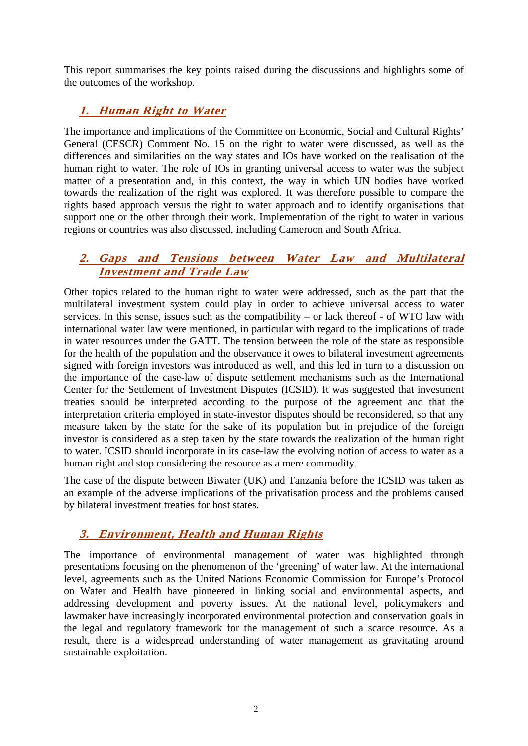This report summarises the key points raised during the discussions and highlights some of the outcomes of the workshop.

# **1. Human Right to Water**

The importance and implications of the Committee on Economic, Social and Cultural Rights' General (CESCR) Comment No. 15 on the right to water were discussed, as well as the differences and similarities on the way states and IOs have worked on the realisation of the human right to water. The role of IOs in granting universal access to water was the subject matter of a presentation and, in this context, the way in which UN bodies have worked towards the realization of the right was explored. It was therefore possible to compare the rights based approach versus the right to water approach and to identify organisations that support one or the other through their work. Implementation of the right to water in various regions or countries was also discussed, including Cameroon and South Africa.

## **2. Gaps and Tensions between Water Law and Multilateral Investment and Trade Law**

Other topics related to the human right to water were addressed, such as the part that the multilateral investment system could play in order to achieve universal access to water services. In this sense, issues such as the compatibility – or lack thereof - of WTO law with international water law were mentioned, in particular with regard to the implications of trade in water resources under the GATT. The tension between the role of the state as responsible for the health of the population and the observance it owes to bilateral investment agreements signed with foreign investors was introduced as well, and this led in turn to a discussion on the importance of the case-law of dispute settlement mechanisms such as the International Center for the Settlement of Investment Disputes (ICSID). It was suggested that investment treaties should be interpreted according to the purpose of the agreement and that the interpretation criteria employed in state-investor disputes should be reconsidered, so that any measure taken by the state for the sake of its population but in prejudice of the foreign investor is considered as a step taken by the state towards the realization of the human right to water. ICSID should incorporate in its case-law the evolving notion of access to water as a human right and stop considering the resource as a mere commodity.

The case of the dispute between Biwater (UK) and Tanzania before the ICSID was taken as an example of the adverse implications of the privatisation process and the problems caused by bilateral investment treaties for host states.

## **3. Environment, Health and Human Rights**

The importance of environmental management of water was highlighted through presentations focusing on the phenomenon of the 'greening' of water law. At the international level, agreements such as the United Nations Economic Commission for Europe's Protocol on Water and Health have pioneered in linking social and environmental aspects, and addressing development and poverty issues. At the national level, policymakers and lawmaker have increasingly incorporated environmental protection and conservation goals in the legal and regulatory framework for the management of such a scarce resource. As a result, there is a widespread understanding of water management as gravitating around sustainable exploitation.